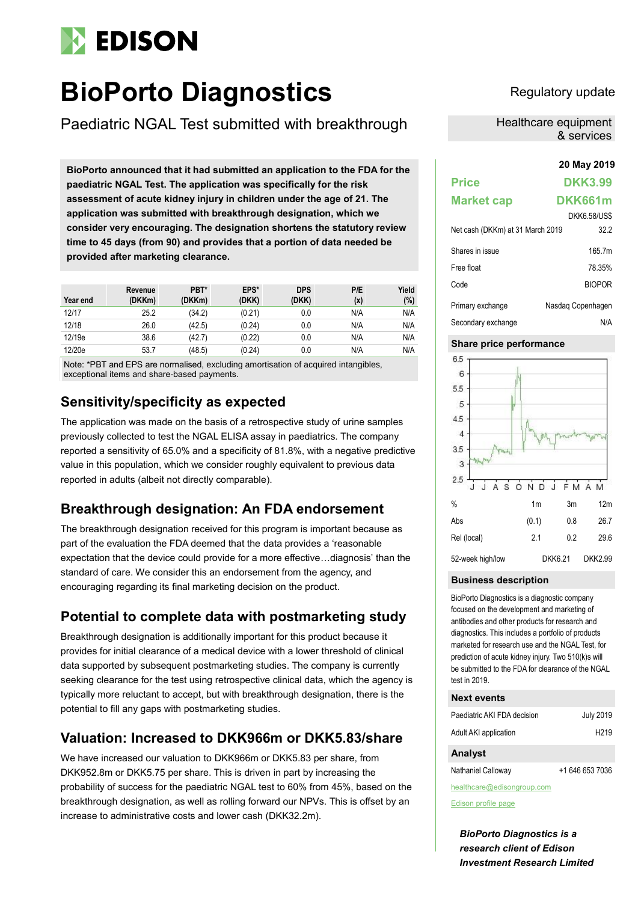# **EDISON**

# **BioPorto Diagnostics** Regulatory update

Paediatric NGAL Test submitted with breakthrough

**20 May 2019 BioPorto announced that it had submitted an application to the FDA for the paediatric NGAL Test. The application was specifically for the risk assessment of acute kidney injury in children under the age of 21. The application was submitted with breakthrough designation, which we consider very encouraging. The designation shortens the statutory review time to 45 days (from 90) and provides that a portion of data needed be provided after marketing clearance.**

| Year end | Revenue<br>(DKKm) | PBT*<br>(DKKm) | EPS*<br>(DKK) | <b>DPS</b><br>(DKK) | P/E<br>(x) | Yield<br>(%) |
|----------|-------------------|----------------|---------------|---------------------|------------|--------------|
| 12/17    | 25.2              | (34.2)         | (0.21)        | 0.0                 | N/A        | N/A          |
| 12/18    | 26.0              | (42.5)         | (0.24)        | 0.0                 | N/A        | N/A          |
| 12/19e   | 38.6              | (42.7)         | (0.22)        | 0.0                 | N/A        | N/A          |
| 12/20e   | 53.7              | (48.5)         | (0.24)        | 0.0                 | N/A        | N/A          |

Note: \*PBT and EPS are normalised, excluding amortisation of acquired intangibles, exceptional items and share-based payments.

# **Sensitivity/specificity as expected**

The application was made on the basis of a retrospective study of urine samples previously collected to test the NGAL ELISA assay in paediatrics. The company reported a sensitivity of 65.0% and a specificity of 81.8%, with a negative predictive value in this population, which we consider roughly equivalent to previous data reported in adults (albeit not directly comparable).

# **Breakthrough designation: An FDA endorsement**

The breakthrough designation received for this program is important because as part of the evaluation the FDA deemed that the data provides a 'reasonable expectation that the device could provide for a more effective…diagnosis' than the standard of care. We consider this an endorsement from the agency, and encouraging regarding its final marketing decision on the product.

# **Potential to complete data with postmarketing study**

Breakthrough designation is additionally important for this product because it provides for initial clearance of a medical device with a lower threshold of clinical data supported by subsequent postmarketing studies. The company is currently seeking clearance for the test using retrospective clinical data, which the agency is typically more reluctant to accept, but with breakthrough designation, there is the potential to fill any gaps with postmarketing studies.

# **Valuation: Increased to DKK966m or DKK5.83/share**

We have increased our valuation to DKK966m or DKK5.83 per share, from DKK952.8m or DKK5.75 per share. This is driven in part by increasing the probability of success for the paediatric NGAL test to 60% from 45%, based on the breakthrough designation, as well as rolling forward our NPVs. This is offset by an increase to administrative costs and lower cash (DKK32.2m).

Healthcare equipment & services

# **Price DKK3.99 Market cap DKK661m** DKK6.58/US\$ Net cash (DKKm) at 31 March 2019 32.2 Shares in issue 165.7m Free float 78.35% Code BIOPOR Primary exchange Nasdaq Copenhagen Secondary exchange N/A

# **Share price performance**



## **Business description**

BioPorto Diagnostics is a diagnostic company focused on the development and marketing of antibodies and other products for research and diagnostics. This includes a portfolio of products marketed for research use and the NGAL Test, for prediction of acute kidney injury. Two 510(k)s will be submitted to the FDA for clearance of the NGAL test in 2019.

## **Next events**

| Paediatric AKI FDA decision | <b>July 2019</b>  |
|-----------------------------|-------------------|
| Adult AKI application       | H <sub>2</sub> 19 |

## **Analyst**

Nathaniel Calloway +1 646 653 7036

healthcare@edisongroup.com

[Edison profile page](https://www.edisongroup.com/company/bioporto-diagnostics/)

*BioPorto Diagnostics is a research client of Edison Investment Research Limited*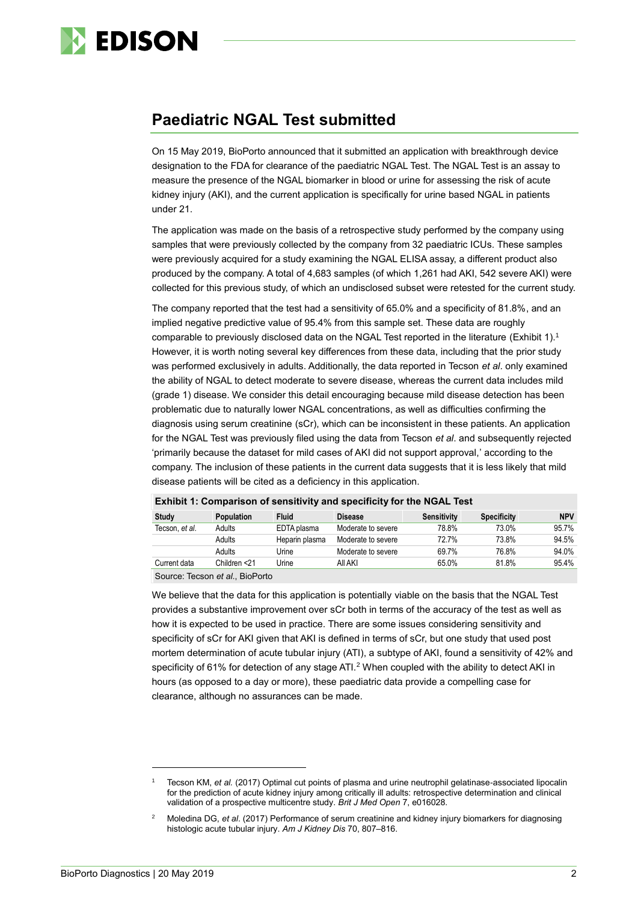

# **Paediatric NGAL Test submitted**

On 15 May 2019, BioPorto announced that it submitted an application with breakthrough device designation to the FDA for clearance of the paediatric NGAL Test. The NGAL Test is an assay to measure the presence of the NGAL biomarker in blood or urine for assessing the risk of acute kidney injury (AKI), and the current application is specifically for urine based NGAL in patients under 21.

The application was made on the basis of a retrospective study performed by the company using samples that were previously collected by the company from 32 paediatric ICUs. These samples were previously acquired for a study examining the NGAL ELISA assay, a different product also produced by the company. A total of 4,683 samples (of which 1,261 had AKI, 542 severe AKI) were collected for this previous study, of which an undisclosed subset were retested for the current study.

The company reported that the test had a sensitivity of 65.0% and a specificity of 81.8%, and an implied negative predictive value of 95.4% from this sample set. These data are roughly comparable to previously disclosed data on the NGAL Test reported in the literature (Exhibit 1).<sup>1</sup> However, it is worth noting several key differences from these data, including that the prior study was performed exclusively in adults. Additionally, the data reported in Tecson *et al*. only examined the ability of NGAL to detect moderate to severe disease, whereas the current data includes mild (grade 1) disease. We consider this detail encouraging because mild disease detection has been problematic due to naturally lower NGAL concentrations, as well as difficulties confirming the diagnosis using serum creatinine (sCr), which can be inconsistent in these patients. An application for the NGAL Test was previously filed using the data from Tecson *et al*. and subsequently rejected 'primarily because the dataset for mild cases of AKI did not support approval,' according to the company. The inclusion of these patients in the current data suggests that it is less likely that mild disease patients will be cited as a deficiency in this application.

| $\blacksquare$ |                   |                |                    |             |                    |            |
|----------------|-------------------|----------------|--------------------|-------------|--------------------|------------|
| Study          | <b>Population</b> | <b>Fluid</b>   | <b>Disease</b>     | Sensitivity | <b>Specificity</b> | <b>NPV</b> |
| Tecson, et al. | Adults            | EDTA plasma    | Moderate to severe | 78.8%       | 73.0%              | 95.7%      |
|                | Adults            | Heparin plasma | Moderate to severe | 72.7%       | 73.8%              | 94.5%      |
|                | Adults            | Urine          | Moderate to severe | 69.7%       | 76.8%              | 94.0%      |
| Current data   | Children <21      | Urine          | All AKI            | 65.0%       | 81.8%              | 95.4%      |
|                |                   |                |                    |             |                    |            |

#### **Exhibit 1: Comparison of sensitivity and specificity for the NGAL Test**

Source: Tecson *et al*., BioPorto

We believe that the data for this application is potentially viable on the basis that the NGAL Test provides a substantive improvement over sCr both in terms of the accuracy of the test as well as how it is expected to be used in practice. There are some issues considering sensitivity and specificity of sCr for AKI given that AKI is defined in terms of sCr, but one study that used post mortem determination of acute tubular injury (ATI), a subtype of AKI, found a sensitivity of 42% and specificity of 61% for detection of any stage ATI.<sup>2</sup> When coupled with the ability to detect AKI in hours (as opposed to a day or more), these paediatric data provide a compelling case for clearance, although no assurances can be made.

 $\overline{a}$ 

<sup>1</sup> Tecson KM, *et al.* (2017) Optimal cut points of plasma and urine neutrophil gelatinase-associated lipocalin for the prediction of acute kidney injury among critically ill adults: retrospective determination and clinical validation of a prospective multicentre study. *Brit J Med Open* 7, e016028.

<sup>2</sup> Moledina DG, *et al*. (2017) Performance of serum creatinine and kidney injury biomarkers for diagnosing histologic acute tubular injury. *Am J Kidney Dis* 70, 807–816.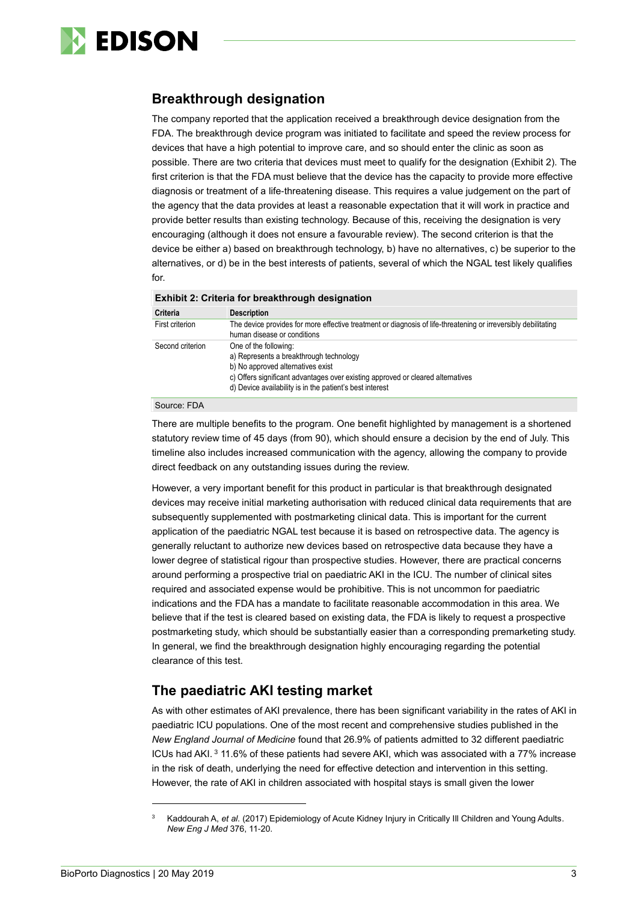

# **Breakthrough designation**

The company reported that the application received a breakthrough device designation from the FDA. The breakthrough device program was initiated to facilitate and speed the review process for devices that have a high potential to improve care, and so should enter the clinic as soon as possible. There are two criteria that devices must meet to qualify for the designation (Exhibit 2). The first criterion is that the FDA must believe that the device has the capacity to provide more effective diagnosis or treatment of a life-threatening disease. This requires a value judgement on the part of the agency that the data provides at least a reasonable expectation that it will work in practice and provide better results than existing technology. Because of this, receiving the designation is very encouraging (although it does not ensure a favourable review). The second criterion is that the device be either a) based on breakthrough technology, b) have no alternatives, c) be superior to the alternatives, or d) be in the best interests of patients, several of which the NGAL test likely qualifies for.

| Criteria         | <b>Description</b>                                                                                                                                                                                                                                   |
|------------------|------------------------------------------------------------------------------------------------------------------------------------------------------------------------------------------------------------------------------------------------------|
| First criterion  | The device provides for more effective treatment or diagnosis of life-threatening or irreversibly debilitating<br>human disease or conditions                                                                                                        |
| Second criterion | One of the following:<br>a) Represents a breakthrough technology<br>b) No approved alternatives exist<br>c) Offers significant advantages over existing approved or cleared alternatives<br>d) Device availability is in the patient's best interest |

#### Source: FDA

There are multiple benefits to the program. One benefit highlighted by management is a shortened statutory review time of 45 days (from 90), which should ensure a decision by the end of July. This timeline also includes increased communication with the agency, allowing the company to provide direct feedback on any outstanding issues during the review.

However, a very important benefit for this product in particular is that breakthrough designated devices may receive initial marketing authorisation with reduced clinical data requirements that are subsequently supplemented with postmarketing clinical data. This is important for the current application of the paediatric NGAL test because it is based on retrospective data. The agency is generally reluctant to authorize new devices based on retrospective data because they have a lower degree of statistical rigour than prospective studies. However, there are practical concerns around performing a prospective trial on paediatric AKI in the ICU. The number of clinical sites required and associated expense would be prohibitive. This is not uncommon for paediatric indications and the FDA has a mandate to facilitate reasonable accommodation in this area. We believe that if the test is cleared based on existing data, the FDA is likely to request a prospective postmarketing study, which should be substantially easier than a corresponding premarketing study. In general, we find the breakthrough designation highly encouraging regarding the potential clearance of this test.

# **The paediatric AKI testing market**

As with other estimates of AKI prevalence, there has been significant variability in the rates of AKI in paediatric ICU populations. One of the most recent and comprehensive studies published in the *New England Journal of Medicine* found that 26.9% of patients admitted to 32 different paediatric ICUs had AKI. <sup>3</sup> 11.6% of these patients had severe AKI, which was associated with a 77% increase in the risk of death, underlying the need for effective detection and intervention in this setting. However, the rate of AKI in children associated with hospital stays is small given the lower

-

<sup>3</sup> Kaddourah A, *et al*. (2017) Epidemiology of Acute Kidney Injury in Critically Ill Children and Young Adults. *New Eng J Med* 376, 11-20.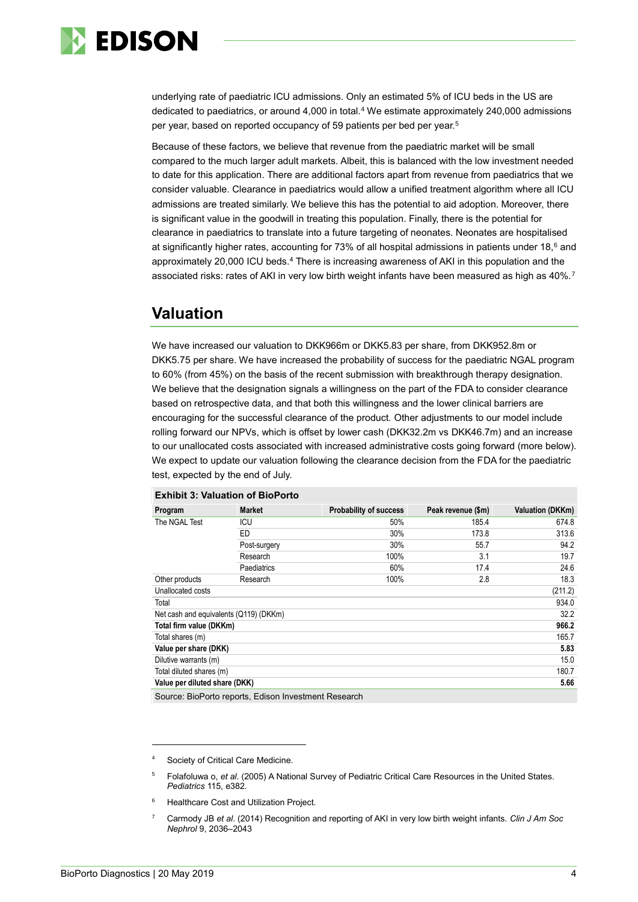

<span id="page-3-0"></span>underlying rate of paediatric ICU admissions. Only an estimated 5% of ICU beds in the US are dedicated to paediatrics, or around 4,000 in total.<sup>4</sup> We estimate approximately 240,000 admissions per year, based on reported occupancy of 59 patients per bed per year.<sup>5</sup>

Because of these factors, we believe that revenue from the paediatric market will be small compared to the much larger adult markets. Albeit, this is balanced with the low investment needed to date for this application. There are additional factors apart from revenue from paediatrics that we consider valuable. Clearance in paediatrics would allow a unified treatment algorithm where all ICU admissions are treated similarly. We believe this has the potential to aid adoption. Moreover, there is significant value in the goodwill in treating this population. Finally, there is the potential for clearance in paediatrics to translate into a future targeting of neonates. Neonates are hospitalised at significantly higher rates, accounting for 73% of all hospital admissions in patients under 18,<sup>6</sup> and approximately 20,000 ICU beds[.](#page-3-0)<sup>4</sup> There is increasing awareness of AKI in this population and the associated risks: rates of AKI in very low birth weight infants have been measured as high as 40%.<sup>7</sup>

# **Valuation**

We have increased our valuation to DKK966m or DKK5.83 per share, from DKK952.8m or DKK5.75 per share. We have increased the probability of success for the paediatric NGAL program to 60% (from 45%) on the basis of the recent submission with breakthrough therapy designation. We believe that the designation signals a willingness on the part of the FDA to consider clearance based on retrospective data, and that both this willingness and the lower clinical barriers are encouraging for the successful clearance of the product. Other adjustments to our model include rolling forward our NPVs, which is offset by lower cash (DKK32.2m vs DKK46.7m) and an increase to our unallocated costs associated with increased administrative costs going forward (more below). We expect to update our valuation following the clearance decision from the FDA for the paediatric test, expected by the end of July.

| Program                                | <b>Market</b>                                        | <b>Probability of success</b> | Peak revenue (\$m) | <b>Valuation (DKKm)</b> |
|----------------------------------------|------------------------------------------------------|-------------------------------|--------------------|-------------------------|
| The NGAL Test                          | ICU                                                  | 50%                           | 185.4              | 674.8                   |
|                                        | <b>ED</b>                                            | 30%                           | 173.8              | 313.6                   |
|                                        | Post-surgery                                         | 30%                           | 55.7               | 94.2                    |
|                                        | Research                                             | 100%                          | 3.1                | 19.7                    |
|                                        | Paediatrics                                          | 60%                           | 17.4               | 24.6                    |
| Other products                         | Research                                             | 100%                          | 2.8                | 18.3                    |
| Unallocated costs                      |                                                      |                               |                    | (211.2)                 |
| Total                                  |                                                      |                               |                    | 934.0                   |
| Net cash and equivalents (Q119) (DKKm) |                                                      |                               |                    | 32.2                    |
| Total firm value (DKKm)                |                                                      |                               |                    | 966.2                   |
| Total shares (m)                       |                                                      |                               |                    | 165.7                   |
| Value per share (DKK)                  |                                                      |                               |                    | 5.83                    |
| Dilutive warrants (m)                  |                                                      |                               |                    | 15.0                    |
| Total diluted shares (m)               |                                                      |                               |                    | 180.7                   |
| Value per diluted share (DKK)<br>5.66  |                                                      |                               |                    |                         |
|                                        | Source: BioPorto reports, Edison Investment Research |                               |                    |                         |

#### **Exhibit 3: Valuation of BioPorto**

Society of Critical Care Medicine.

- <sup>5</sup> Folafoluwa o, *et al*. (2005) A National Survey of Pediatric Critical Care Resources in the United States. *Pediatrics* 115, e382.
- <sup>6</sup> Healthcare Cost and Utilization Project.
- <sup>7</sup> Carmody JB *et al*. (2014) Recognition and reporting of AKI in very low birth weight infants. *Clin J Am Soc Nephrol* 9, 2036–2043

-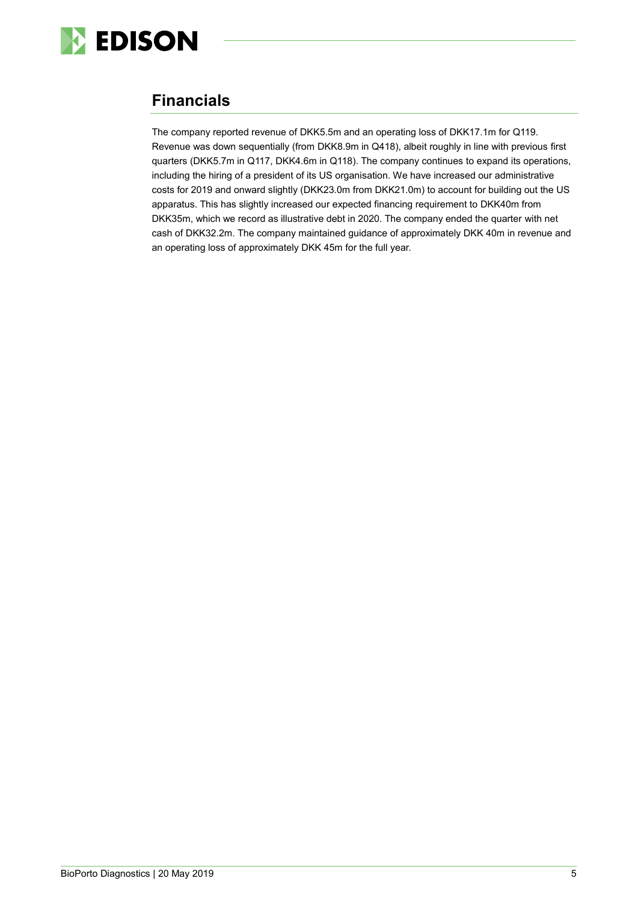

# **Financials**

The company reported revenue of DKK5.5m and an operating loss of DKK17.1m for Q119. Revenue was down sequentially (from DKK8.9m in Q418), albeit roughly in line with previous first quarters (DKK5.7m in Q117, DKK4.6m in Q118). The company continues to expand its operations, including the hiring of a president of its US organisation. We have increased our administrative costs for 2019 and onward slightly (DKK23.0m from DKK21.0m) to account for building out the US apparatus. This has slightly increased our expected financing requirement to DKK40m from DKK35m, which we record as illustrative debt in 2020. The company ended the quarter with net cash of DKK32.2m. The company maintained guidance of approximately DKK 40m in revenue and an operating loss of approximately DKK 45m for the full year.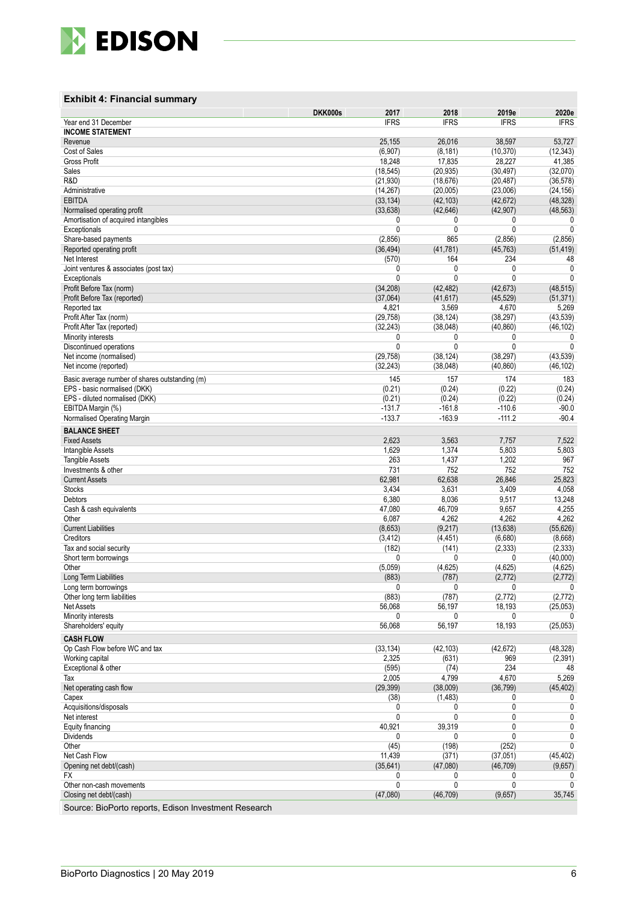

#### **Exhibit 4 : Financial summary**

|                                                                | DKK000s<br>2017     | 2018                | 2019e               | 2020e                 |
|----------------------------------------------------------------|---------------------|---------------------|---------------------|-----------------------|
| Year end 31 December                                           | <b>IFRS</b>         | <b>IFRS</b>         | <b>IFRS</b>         | <b>IFRS</b>           |
| <b>INCOME STATEMENT</b>                                        |                     |                     |                     |                       |
| Revenue                                                        | 25,155              | 26,016              | 38,597              | 53,727                |
| Cost of Sales                                                  | (6,907)             | (8, 181)            | (10, 370)           | (12, 343)             |
| <b>Gross Profit</b><br>Sales                                   | 18,248<br>(18, 545) | 17,835<br>(20, 935) | 28,227<br>(30, 497) | 41,385<br>(32,070)    |
| R&D                                                            | (21, 930)           | (18, 676)           | (20, 487)           | (36, 578)             |
| Administrative                                                 | (14, 267)           | (20,005)            | (23,006)            | (24, 156)             |
| <b>EBITDA</b>                                                  | (33, 134)           | (42, 103)           | (42, 672)           | (48, 328)             |
| Normalised operating profit                                    | (33, 638)           | (42, 646)           | (42, 907)           | (48, 563)             |
| Amortisation of acquired intangibles                           | 0                   | 0                   | 0                   | 0                     |
| Exceptionals                                                   | 0                   | 0                   | 0                   | $\mathbf 0$           |
| Share-based payments                                           | (2,856)             | 865                 | (2,856)             | (2,856)               |
| Reported operating profit                                      | (36, 494)           | (41, 781)           | (45, 763)           | (51, 419)             |
| Net Interest                                                   | (570)               | 164                 | 234                 | 48                    |
| Joint ventures & associates (post tax)                         | 0                   | 0                   | 0                   | 0                     |
| Exceptionals                                                   | 0                   | 0                   | $\mathbf{0}$        | 0                     |
| Profit Before Tax (norm)                                       | (34, 208)           | (42, 482)           | (42, 673)           | (48, 515)             |
| Profit Before Tax (reported)                                   | (37,064)            | (41, 617)           | (45, 529)           | (51, 371)             |
| Reported tax                                                   | 4,821               | 3,569               | 4,670               | 5,269                 |
| Profit After Tax (norm)                                        | (29, 758)           | (38, 124)           | (38, 297)           | (43, 539)             |
| Profit After Tax (reported)                                    | (32, 243)<br>0      | (38,048)<br>0       | (40, 860)<br>0      | (46,102)<br>0         |
| Minority interests<br>Discontinued operations                  | 0                   | 0                   | $\mathbf{0}$        | 0                     |
| Net income (normalised)                                        | (29, 758)           | (38, 124)           | (38, 297)           | (43, 539)             |
| Net income (reported)                                          | (32, 243)           | (38,048)            | (40, 860)           | (46,102)              |
|                                                                |                     |                     |                     |                       |
| Basic average number of shares outstanding (m)                 | 145                 | 157                 | 174                 | 183                   |
| EPS - basic normalised (DKK)<br>EPS - diluted normalised (DKK) | (0.21)<br>(0.21)    | (0.24)<br>(0.24)    | (0.22)<br>(0.22)    | (0.24)<br>(0.24)      |
| EBITDA Margin (%)                                              | $-131.7$            | $-161.8$            | $-110.6$            | $-90.0$               |
| Normalised Operating Margin                                    | $-133.7$            | $-163.9$            | $-111.2$            | $-90.4$               |
|                                                                |                     |                     |                     |                       |
| <b>BALANCE SHEET</b>                                           |                     |                     |                     |                       |
| <b>Fixed Assets</b>                                            | 2,623<br>1,629      | 3,563<br>1,374      | 7,757<br>5,803      | 7,522<br>5,803        |
| Intangible Assets<br><b>Tangible Assets</b>                    | 263                 | 1,437               | 1,202               | 967                   |
| Investments & other                                            | 731                 | 752                 | 752                 | 752                   |
| <b>Current Assets</b>                                          | 62,981              | 62,638              | 26,846              | 25,823                |
| <b>Stocks</b>                                                  | 3,434               | 3,631               | 3,409               | 4,058                 |
| Debtors                                                        | 6,380               | 8,036               | 9,517               | 13,248                |
| Cash & cash equivalents                                        | 47,080              | 46,709              | 9,657               | 4,255                 |
| Other                                                          | 6,087               | 4,262               | 4,262               | 4,262                 |
| <b>Current Liabilities</b>                                     | (8,653)             | (9,217)             | (13, 638)           | (55, 626)             |
| Creditors                                                      | (3, 412)            | (4, 451)            | (6,680)             | (8,668)               |
| Tax and social security                                        | (182)               | (141)               | (2, 333)            | (2, 333)              |
| Short term borrowings                                          | $\Omega$            | 0                   | 0                   | (40,000)              |
| Other                                                          | (5,059)             | (4,625)             | (4,625)             | (4,625)               |
| Long Term Liabilities                                          | (883)               | (787)               | (2,772)             | (2,772)               |
| Long term borrowings                                           |                     |                     |                     | 0                     |
| Other long term liabilities<br><b>Net Assets</b>               | (883)<br>56,068     | (787)<br>56,197     | (2, 772)<br>18,193  | (2, 772)<br>(25, 053) |
| Minority interests                                             | 0                   | 0                   | 0                   | 0                     |
| Shareholders' equity                                           | 56,068              | 56,197              | 18,193              | (25, 053)             |
| <b>CASH FLOW</b>                                               |                     |                     |                     |                       |
| Op Cash Flow before WC and tax                                 | (33, 134)           | (42, 103)           | (42, 672)           | (48,328)              |
| Working capital                                                | 2,325               | (631)               | 969                 | (2, 391)              |
| Exceptional & other                                            | (595)               | (74)                | 234                 | 48                    |
| Tax                                                            | 2,005               | 4,799               | 4,670               | 5,269                 |
| Net operating cash flow                                        | (29, 399)           | (38,009)            | (36, 799)           | (45, 402)             |
| Capex                                                          | (38)                | (1,483)             | 0                   | 0                     |
| Acquisitions/disposals                                         | 0                   | 0                   | 0                   | 0                     |
| Net interest                                                   | 0                   | 0                   | 0                   | 0                     |
| Equity financing                                               | 40,921              | 39,319              | 0                   | 0                     |
| Dividends                                                      | 0                   | 0                   | $\mathbf{0}$        | 0                     |
| Other                                                          | (45)                | (198)               | (252)               | 0                     |
| Net Cash Flow                                                  | 11,439              | (371)               | (37,051)            | (45, 402)             |
| Opening net debt/(cash)                                        | (35, 641)           | (47,080)            | (46, 709)           | (9,657)               |
| FX                                                             | 0                   | 0                   | 0                   | 0                     |
| Other non-cash movements                                       | 0                   | 0                   | 0                   | 0                     |
| Closing net debt/(cash)                                        | (47,080)            | (46, 709)           | (9,657)             | 35,745                |

Source: BioPorto reports, Edison Investment Research